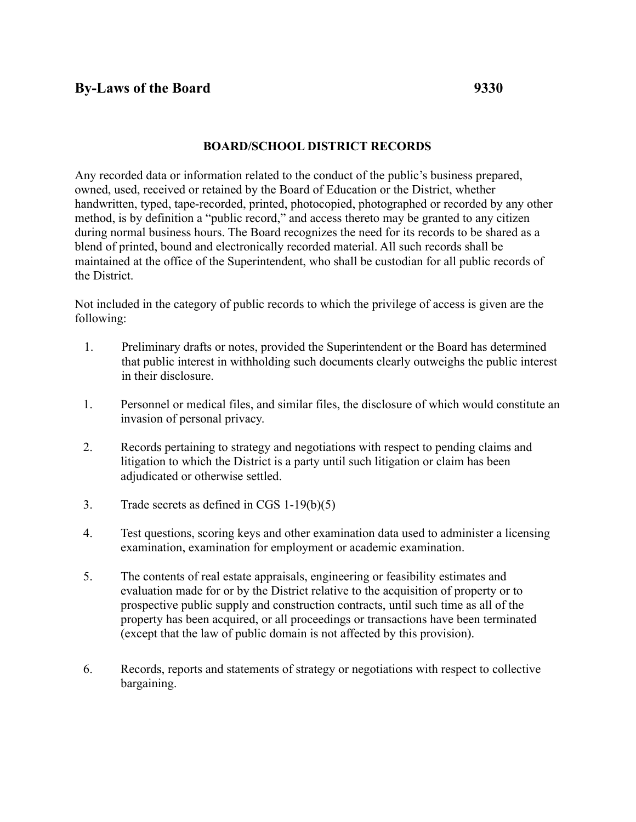## **BOARD/SCHOOL DISTRICT RECORDS**

Any recorded data or information related to the conduct of the public's business prepared, owned, used, received or retained by the Board of Education or the District, whether handwritten, typed, tape-recorded, printed, photocopied, photographed or recorded by any other method, is by definition a "public record," and access thereto may be granted to any citizen during normal business hours. The Board recognizes the need for its records to be shared as a blend of printed, bound and electronically recorded material. All such records shall be maintained at the office of the Superintendent, who shall be custodian for all public records of the District.

Not included in the category of public records to which the privilege of access is given are the following:

- 1. Preliminary drafts or notes, provided the Superintendent or the Board has determined that public interest in withholding such documents clearly outweighs the public interest in their disclosure.
- 1. Personnel or medical files, and similar files, the disclosure of which would constitute an invasion of personal privacy.
- 2. Records pertaining to strategy and negotiations with respect to pending claims and litigation to which the District is a party until such litigation or claim has been adjudicated or otherwise settled.
- 3. Trade secrets as defined in CGS 1-19(b)(5)
- 4. Test questions, scoring keys and other examination data used to administer a licensing examination, examination for employment or academic examination.
- 5. The contents of real estate appraisals, engineering or feasibility estimates and evaluation made for or by the District relative to the acquisition of property or to prospective public supply and construction contracts, until such time as all of the property has been acquired, or all proceedings or transactions have been terminated (except that the law of public domain is not affected by this provision).
- 6. Records, reports and statements of strategy or negotiations with respect to collective bargaining.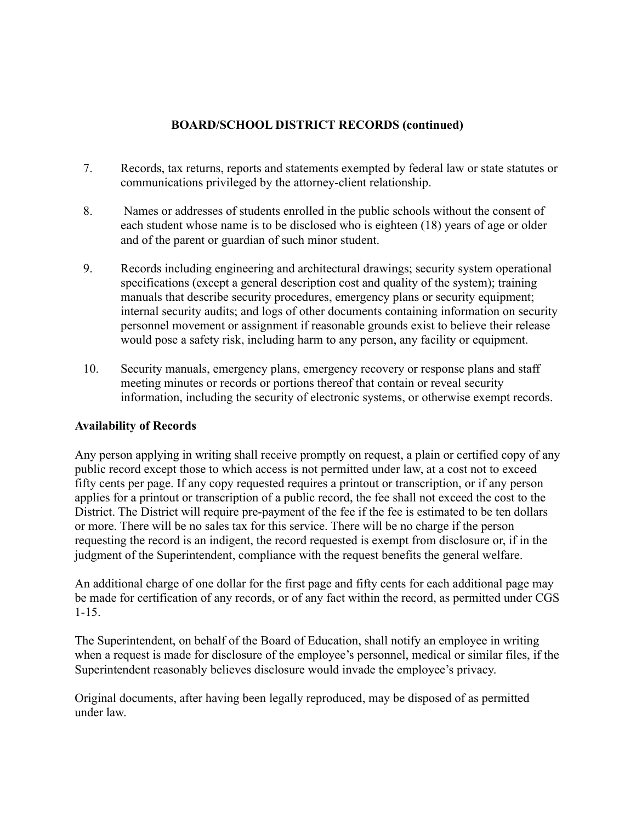## **BOARD/SCHOOL DISTRICT RECORDS (continued)**

- 7. Records, tax returns, reports and statements exempted by federal law or state statutes or communications privileged by the attorney-client relationship.
- 8. Names or addresses of students enrolled in the public schools without the consent of each student whose name is to be disclosed who is eighteen (18) years of age or older and of the parent or guardian of such minor student.
- 9. Records including engineering and architectural drawings; security system operational specifications (except a general description cost and quality of the system); training manuals that describe security procedures, emergency plans or security equipment; internal security audits; and logs of other documents containing information on security personnel movement or assignment if reasonable grounds exist to believe their release would pose a safety risk, including harm to any person, any facility or equipment.
- 10. Security manuals, emergency plans, emergency recovery or response plans and staff meeting minutes or records or portions thereof that contain or reveal security information, including the security of electronic systems, or otherwise exempt records.

## **Availability of Records**

Any person applying in writing shall receive promptly on request, a plain or certified copy of any public record except those to which access is not permitted under law, at a cost not to exceed fifty cents per page. If any copy requested requires a printout or transcription, or if any person applies for a printout or transcription of a public record, the fee shall not exceed the cost to the District. The District will require pre-payment of the fee if the fee is estimated to be ten dollars or more. There will be no sales tax for this service. There will be no charge if the person requesting the record is an indigent, the record requested is exempt from disclosure or, if in the judgment of the Superintendent, compliance with the request benefits the general welfare.

An additional charge of one dollar for the first page and fifty cents for each additional page may be made for certification of any records, or of any fact within the record, as permitted under CGS 1-15.

The Superintendent, on behalf of the Board of Education, shall notify an employee in writing when a request is made for disclosure of the employee's personnel, medical or similar files, if the Superintendent reasonably believes disclosure would invade the employee's privacy.

Original documents, after having been legally reproduced, may be disposed of as permitted under law.